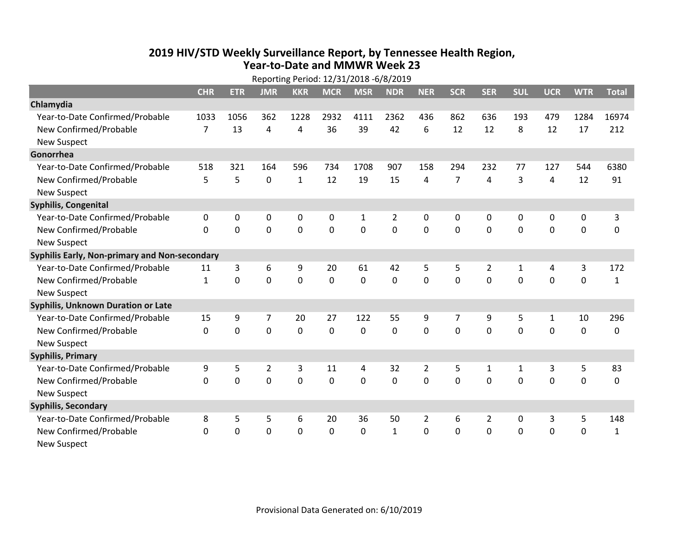## **2019 HIV /STD Weekly Surveillance Report, by Tennessee Health Region, Year‐to‐Date and MMWR Week 23**

| Reporting Period: 12/31/2018 -6/8/2019        |                |              |             |              |             |              |              |              |                |            |             |             |             |              |
|-----------------------------------------------|----------------|--------------|-------------|--------------|-------------|--------------|--------------|--------------|----------------|------------|-------------|-------------|-------------|--------------|
|                                               | <b>CHR</b>     | <b>ETR</b>   | <b>JMR</b>  | <b>KKR</b>   | <b>MCR</b>  | <b>MSR</b>   | <b>NDR</b>   | <b>NER</b>   | <b>SCR</b>     | <b>SER</b> | <b>SUL</b>  | <b>UCR</b>  | <b>WTR</b>  | <b>Total</b> |
| Chlamydia                                     |                |              |             |              |             |              |              |              |                |            |             |             |             |              |
| Year-to-Date Confirmed/Probable               | 1033           | 1056         | 362         | 1228         | 2932        | 4111         | 2362         | 436          | 862            | 636        | 193         | 479         | 1284        | 16974        |
| New Confirmed/Probable                        | $\overline{7}$ | 13           | 4           | 4            | 36          | 39           | 42           | 6            | 12             | 12         | 8           | 12          | 17          | 212          |
| <b>New Suspect</b>                            |                |              |             |              |             |              |              |              |                |            |             |             |             |              |
| Gonorrhea                                     |                |              |             |              |             |              |              |              |                |            |             |             |             |              |
| Year-to-Date Confirmed/Probable               | 518            | 321          | 164         | 596          | 734         | 1708         | 907          | 158          | 294            | 232        | 77          | 127         | 544         | 6380         |
| New Confirmed/Probable                        | 5              | 5            | 0           | $\mathbf{1}$ | 12          | 19           | 15           | 4            | $\overline{7}$ | 4          | 3           | 4           | 12          | 91           |
| <b>New Suspect</b>                            |                |              |             |              |             |              |              |              |                |            |             |             |             |              |
| <b>Syphilis, Congenital</b>                   |                |              |             |              |             |              |              |              |                |            |             |             |             |              |
| Year-to-Date Confirmed/Probable               | $\mathbf{0}$   | $\mathbf{0}$ | $\Omega$    | $\mathbf{0}$ | 0           | $\mathbf{1}$ | 2            | $\mathbf{0}$ | 0              | $\Omega$   | $\Omega$    | 0           | 0           | 3            |
| New Confirmed/Probable                        | $\Omega$       | 0            | 0           | $\mathbf 0$  | 0           | $\mathbf 0$  | 0            | $\Omega$     | $\Omega$       | 0          | 0           | $\mathbf 0$ | $\pmb{0}$   | $\pmb{0}$    |
| <b>New Suspect</b>                            |                |              |             |              |             |              |              |              |                |            |             |             |             |              |
| Syphilis Early, Non-primary and Non-secondary |                |              |             |              |             |              |              |              |                |            |             |             |             |              |
| Year-to-Date Confirmed/Probable               | 11             | 3            | 6           | 9            | 20          | 61           | 42           | 5            | 5              | 2          | 1           | 4           | 3           | 172          |
| New Confirmed/Probable                        | $\mathbf{1}$   | 0            | 0           | $\mathbf 0$  | 0           | $\mathbf 0$  | 0            | $\Omega$     | $\Omega$       | $\Omega$   | 0           | $\mathbf 0$ | $\mathbf 0$ | $\mathbf{1}$ |
| <b>New Suspect</b>                            |                |              |             |              |             |              |              |              |                |            |             |             |             |              |
| Syphilis, Unknown Duration or Late            |                |              |             |              |             |              |              |              |                |            |             |             |             |              |
| Year-to-Date Confirmed/Probable               | 15             | 9            | 7           | 20           | 27          | 122          | 55           | 9            | 7              | 9          | 5           | 1           | 10          | 296          |
| New Confirmed/Probable                        | $\Omega$       | $\Omega$     | $\mathbf 0$ | $\mathbf 0$  | $\mathbf 0$ | $\mathbf 0$  | $\Omega$     | $\Omega$     | $\Omega$       | $\Omega$   | $\mathbf 0$ | $\mathbf 0$ | $\mathbf 0$ | $\mathbf 0$  |
| <b>New Suspect</b>                            |                |              |             |              |             |              |              |              |                |            |             |             |             |              |
| <b>Syphilis, Primary</b>                      |                |              |             |              |             |              |              |              |                |            |             |             |             |              |
| Year-to-Date Confirmed/Probable               | 9              | 5            | 2           | 3            | 11          | 4            | 32           | 2            | 5              | 1          | 1           | 3           | 5           | 83           |
| New Confirmed/Probable                        | $\mathbf{0}$   | $\mathbf{0}$ | 0           | $\mathbf 0$  | 0           | 0            | 0            | $\Omega$     | $\Omega$       | 0          | 0           | $\mathbf 0$ | $\mathbf 0$ | $\mathbf 0$  |
| <b>New Suspect</b>                            |                |              |             |              |             |              |              |              |                |            |             |             |             |              |
| <b>Syphilis, Secondary</b>                    |                |              |             |              |             |              |              |              |                |            |             |             |             |              |
| Year-to-Date Confirmed/Probable               | 8              | 5            | 5           | 6            | 20          | 36           | 50           | 2            | 6              | 2          | 0           | 3           | 5           | 148          |
| New Confirmed/Probable                        | $\mathbf{0}$   | 0            | 0           | $\mathbf 0$  | 0           | 0            | $\mathbf{1}$ | $\mathbf 0$  | $\mathbf{0}$   | 0          | 0           | $\mathbf 0$ | $\mathbf 0$ | $\mathbf{1}$ |
| <b>New Suspect</b>                            |                |              |             |              |             |              |              |              |                |            |             |             |             |              |